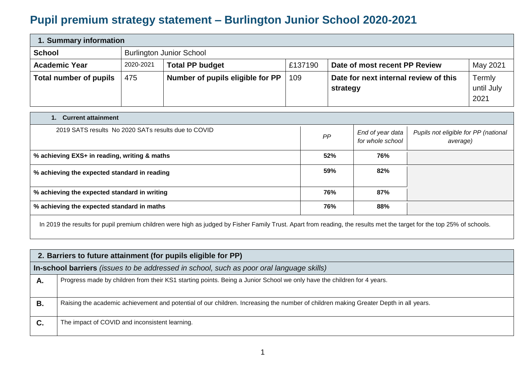## **Pupil premium strategy statement – Burlington Junior School 2020-2021**

| 1. Summary information                           |           |                                  |         |                                       |            |  |
|--------------------------------------------------|-----------|----------------------------------|---------|---------------------------------------|------------|--|
| <b>School</b><br><b>Burlington Junior School</b> |           |                                  |         |                                       |            |  |
| <b>Academic Year</b>                             | 2020-2021 | <b>Total PP budget</b>           | £137190 | Date of most recent PP Review         | May 2021   |  |
| <b>Total number of pupils</b>                    | 475       | Number of pupils eligible for PP | 109     | Date for next internal review of this | Termly     |  |
|                                                  |           |                                  |         | strategy                              | until July |  |
|                                                  |           |                                  |         |                                       | 2021       |  |

| <b>Current attainment</b><br>1.                     |     |                                      |                                                  |  |  |  |
|-----------------------------------------------------|-----|--------------------------------------|--------------------------------------------------|--|--|--|
| 2019 SATS results No 2020 SATs results due to COVID | PP  | End of year data<br>for whole school | Pupils not eligible for PP (national<br>average) |  |  |  |
| % achieving EXS+ in reading, writing & maths        | 52% | 76%                                  |                                                  |  |  |  |
| % achieving the expected standard in reading        | 59% | 82%                                  |                                                  |  |  |  |
| % achieving the expected standard in writing        | 76% | 87%                                  |                                                  |  |  |  |
| % achieving the expected standard in maths          | 76% | 88%                                  |                                                  |  |  |  |

In 2019 the results for pupil premium children were high as judged by Fisher Family Trust. Apart from reading, the results met the target for the top 25% of schools.

|    | 2. Barriers to future attainment (for pupils eligible for PP)                                                                        |  |  |  |  |  |
|----|--------------------------------------------------------------------------------------------------------------------------------------|--|--|--|--|--|
|    | In-school barriers <i>(issues to be addressed in school, such as poor oral language skills)</i>                                      |  |  |  |  |  |
| А. | Progress made by children from their KS1 starting points. Being a Junior School we only have the children for 4 years.               |  |  |  |  |  |
| В. | Raising the academic achievement and potential of our children. Increasing the number of children making Greater Depth in all years. |  |  |  |  |  |
| C. | The impact of COVID and inconsistent learning.                                                                                       |  |  |  |  |  |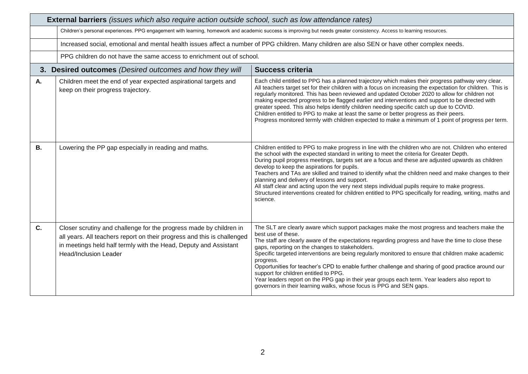|           | <b>External barriers</b> (issues which also require action outside school, such as low attendance rates)                                                                                                                                          |                                                                                                                                                                                                                                                                                                                                                                                                                                                                                                                                                                                                                                                                                                                                               |  |  |  |
|-----------|---------------------------------------------------------------------------------------------------------------------------------------------------------------------------------------------------------------------------------------------------|-----------------------------------------------------------------------------------------------------------------------------------------------------------------------------------------------------------------------------------------------------------------------------------------------------------------------------------------------------------------------------------------------------------------------------------------------------------------------------------------------------------------------------------------------------------------------------------------------------------------------------------------------------------------------------------------------------------------------------------------------|--|--|--|
|           | Children's personal experiences. PPG engagement with learning, homework and academic success is improving but needs greater consistency. Access to learning resources.                                                                            |                                                                                                                                                                                                                                                                                                                                                                                                                                                                                                                                                                                                                                                                                                                                               |  |  |  |
|           | Increased social, emotional and mental health issues affect a number of PPG children. Many children are also SEN or have other complex needs.                                                                                                     |                                                                                                                                                                                                                                                                                                                                                                                                                                                                                                                                                                                                                                                                                                                                               |  |  |  |
|           | PPG children do not have the same access to enrichment out of school.                                                                                                                                                                             |                                                                                                                                                                                                                                                                                                                                                                                                                                                                                                                                                                                                                                                                                                                                               |  |  |  |
|           | 3. Desired outcomes (Desired outcomes and how they will                                                                                                                                                                                           | <b>Success criteria</b>                                                                                                                                                                                                                                                                                                                                                                                                                                                                                                                                                                                                                                                                                                                       |  |  |  |
| Α.        | Children meet the end of year expected aspirational targets and<br>keep on their progress trajectory.                                                                                                                                             | Each child entitled to PPG has a planned trajectory which makes their progress pathway very clear.<br>All teachers target set for their children with a focus on increasing the expectation for children. This is<br>regularly monitored. This has been reviewed and updated October 2020 to allow for children not<br>making expected progress to be flagged earlier and interventions and support to be directed with<br>greater speed. This also helps identify children needing specific catch up due to COVID.<br>Children entitled to PPG to make at least the same or better progress as their peers.<br>Progress monitored termly with children expected to make a minimum of 1 point of progress per term.                           |  |  |  |
| <b>B.</b> | Lowering the PP gap especially in reading and maths.                                                                                                                                                                                              | Children entitled to PPG to make progress in line with the children who are not. Children who entered<br>the school with the expected standard in writing to meet the criteria for Greater Depth.<br>During pupil progress meetings, targets set are a focus and these are adjusted upwards as children<br>develop to keep the aspirations for pupils.<br>Teachers and TAs are skilled and trained to identify what the children need and make changes to their<br>planning and delivery of lessons and support.<br>All staff clear and acting upon the very next steps individual pupils require to make progress.<br>Structured interventions created for children entitled to PPG specifically for reading, writing, maths and<br>science. |  |  |  |
| C.        | Closer scrutiny and challenge for the progress made by children in<br>all years. All teachers report on their progress and this is challenged<br>in meetings held half termly with the Head, Deputy and Assistant<br><b>Head/Inclusion Leader</b> | The SLT are clearly aware which support packages make the most progress and teachers make the<br>best use of these.<br>The staff are clearly aware of the expectations regarding progress and have the time to close these<br>gaps, reporting on the changes to stakeholders.<br>Specific targeted interventions are being regularly monitored to ensure that children make academic<br>progress.<br>Opportunities for teacher's CPD to enable further challenge and sharing of good practice around our<br>support for children entitled to PPG.<br>Year leaders report on the PPG gap in their year groups each term. Year leaders also report to<br>governors in their learning walks, whose focus is PPG and SEN gaps.                    |  |  |  |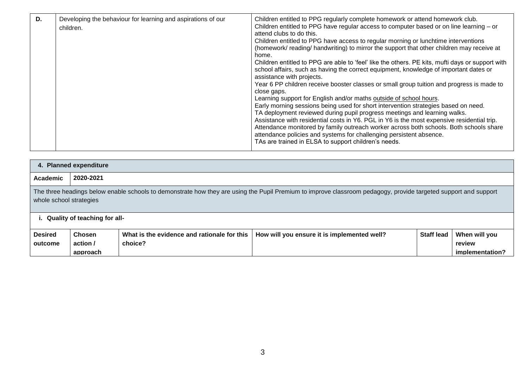| D. | Developing the behaviour for learning and aspirations of our<br>children. | Children entitled to PPG regularly complete homework or attend homework club.<br>Children entitled to PPG have regular access to computer based or on line learning $-$ or<br>attend clubs to do this.<br>Children entitled to PPG have access to regular morning or lunchtime interventions<br>(homework/reading/handwriting) to mirror the support that other children may receive at<br>home.<br>Children entitled to PPG are able to 'feel' like the others. PE kits, mufti days or support with<br>school affairs, such as having the correct equipment, knowledge of important dates or<br>assistance with projects.<br>Year 6 PP children receive booster classes or small group tuition and progress is made to<br>close gaps.<br>Learning support for English and/or maths outside of school hours.<br>Early morning sessions being used for short intervention strategies based on need.<br>TA deployment reviewed during pupil progress meetings and learning walks.<br>Assistance with residential costs in Y6. PGL in Y6 is the most expensive residential trip.<br>Attendance monitored by family outreach worker across both schools. Both schools share<br>attendance policies and systems for challenging persistent absence.<br>TAs are trained in ELSA to support children's needs. |
|----|---------------------------------------------------------------------------|--------------------------------------------------------------------------------------------------------------------------------------------------------------------------------------------------------------------------------------------------------------------------------------------------------------------------------------------------------------------------------------------------------------------------------------------------------------------------------------------------------------------------------------------------------------------------------------------------------------------------------------------------------------------------------------------------------------------------------------------------------------------------------------------------------------------------------------------------------------------------------------------------------------------------------------------------------------------------------------------------------------------------------------------------------------------------------------------------------------------------------------------------------------------------------------------------------------------------------------------------------------------------------------------------------|
|----|---------------------------------------------------------------------------|--------------------------------------------------------------------------------------------------------------------------------------------------------------------------------------------------------------------------------------------------------------------------------------------------------------------------------------------------------------------------------------------------------------------------------------------------------------------------------------------------------------------------------------------------------------------------------------------------------------------------------------------------------------------------------------------------------------------------------------------------------------------------------------------------------------------------------------------------------------------------------------------------------------------------------------------------------------------------------------------------------------------------------------------------------------------------------------------------------------------------------------------------------------------------------------------------------------------------------------------------------------------------------------------------------|

|                                                                                                                                                                     | 4. Planned expenditure                                                                                                                                                                                                     |         |  |  |                 |  |  |  |
|---------------------------------------------------------------------------------------------------------------------------------------------------------------------|----------------------------------------------------------------------------------------------------------------------------------------------------------------------------------------------------------------------------|---------|--|--|-----------------|--|--|--|
| Academic                                                                                                                                                            | 2020-2021                                                                                                                                                                                                                  |         |  |  |                 |  |  |  |
|                                                                                                                                                                     | The three headings below enable schools to demonstrate how they are using the Pupil Premium to improve classroom pedagogy, provide targeted support and support<br>whole school strategies<br>Quality of teaching for all- |         |  |  |                 |  |  |  |
| <b>Desired</b><br><b>Staff lead</b><br><b>Chosen</b><br>What is the evidence and rationale for this<br>How will you ensure it is implemented well?<br>When will you |                                                                                                                                                                                                                            |         |  |  |                 |  |  |  |
| outcome                                                                                                                                                             | action /                                                                                                                                                                                                                   | choice? |  |  | review          |  |  |  |
|                                                                                                                                                                     | approach                                                                                                                                                                                                                   |         |  |  | implementation? |  |  |  |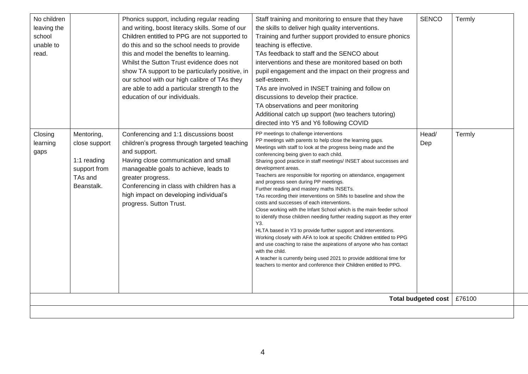| No children<br>leaving the<br>school<br>unable to<br>read.<br>Closing<br>learning<br>gaps | Mentoring,<br>close support<br>1:1 reading<br>support from<br>TAs and<br>Beanstalk. | Phonics support, including regular reading<br>and writing, boost literacy skills. Some of our<br>Children entitled to PPG are not supported to<br>do this and so the school needs to provide<br>this and model the benefits to learning.<br>Whilst the Sutton Trust evidence does not<br>show TA support to be particularly positive, in<br>our school with our high calibre of TAs they<br>are able to add a particular strength to the<br>education of our individuals.<br>Conferencing and 1:1 discussions boost<br>children's progress through targeted teaching<br>and support.<br>Having close communication and small<br>manageable goals to achieve, leads to<br>greater progress.<br>Conferencing in class with children has a<br>high impact on developing individual's<br>progress. Sutton Trust. | Staff training and monitoring to ensure that they have<br>the skills to deliver high quality interventions.<br>Training and further support provided to ensure phonics<br>teaching is effective.<br>TAs feedback to staff and the SENCO about<br>interventions and these are monitored based on both<br>pupil engagement and the impact on their progress and<br>self-esteem.<br>TAs are involved in INSET training and follow on<br>discussions to develop their practice.<br>TA observations and peer monitoring<br>Additional catch up support (two teachers tutoring)<br>directed into Y5 and Y6 following COVID<br>PP meetings to challenge interventions<br>PP meetings with parents to help close the learning gaps.<br>Meetings with staff to look at the progress being made and the<br>conferencing being given to each child.<br>Sharing good practice in staff meetings/ INSET about successes and<br>development areas.<br>Teachers are responsible for reporting on attendance, engagement<br>and progress seen during PP meetings.<br>Further reading and mastery maths INSETs.<br>TAs recording their interventions on SIMs to baseline and show the<br>costs and successes of each interventions.<br>Close working with the Infant School which is the main feeder school<br>to identify those children needing further reading support as they enter<br>Y3. | <b>SENCO</b><br>Head/<br>Dep | Termly<br>Termly |  |
|-------------------------------------------------------------------------------------------|-------------------------------------------------------------------------------------|--------------------------------------------------------------------------------------------------------------------------------------------------------------------------------------------------------------------------------------------------------------------------------------------------------------------------------------------------------------------------------------------------------------------------------------------------------------------------------------------------------------------------------------------------------------------------------------------------------------------------------------------------------------------------------------------------------------------------------------------------------------------------------------------------------------|-------------------------------------------------------------------------------------------------------------------------------------------------------------------------------------------------------------------------------------------------------------------------------------------------------------------------------------------------------------------------------------------------------------------------------------------------------------------------------------------------------------------------------------------------------------------------------------------------------------------------------------------------------------------------------------------------------------------------------------------------------------------------------------------------------------------------------------------------------------------------------------------------------------------------------------------------------------------------------------------------------------------------------------------------------------------------------------------------------------------------------------------------------------------------------------------------------------------------------------------------------------------------------------------------------------------------------------------------------------------------------|------------------------------|------------------|--|
|                                                                                           |                                                                                     |                                                                                                                                                                                                                                                                                                                                                                                                                                                                                                                                                                                                                                                                                                                                                                                                              | HLTA based in Y3 to provide further support and interventions.<br>Working closely with AFA to look at specific Children entitled to PPG<br>and use coaching to raise the aspirations of anyone who has contact<br>with the child.<br>A teacher is currently being used 2021 to provide additional time for<br>teachers to mentor and conference their Children entitled to PPG.                                                                                                                                                                                                                                                                                                                                                                                                                                                                                                                                                                                                                                                                                                                                                                                                                                                                                                                                                                                               |                              |                  |  |
|                                                                                           |                                                                                     |                                                                                                                                                                                                                                                                                                                                                                                                                                                                                                                                                                                                                                                                                                                                                                                                              |                                                                                                                                                                                                                                                                                                                                                                                                                                                                                                                                                                                                                                                                                                                                                                                                                                                                                                                                                                                                                                                                                                                                                                                                                                                                                                                                                                               | <b>Total budgeted cost</b>   | £76100           |  |
|                                                                                           |                                                                                     |                                                                                                                                                                                                                                                                                                                                                                                                                                                                                                                                                                                                                                                                                                                                                                                                              |                                                                                                                                                                                                                                                                                                                                                                                                                                                                                                                                                                                                                                                                                                                                                                                                                                                                                                                                                                                                                                                                                                                                                                                                                                                                                                                                                                               |                              |                  |  |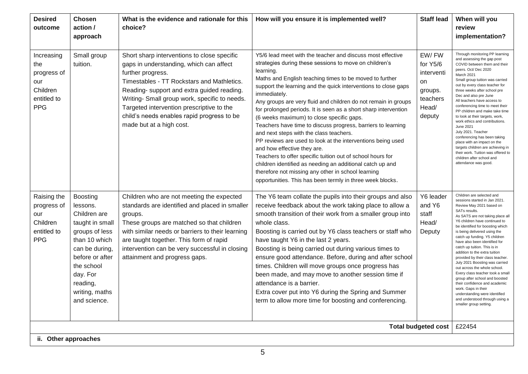| <b>Desired</b><br>outcome                                                        | Chosen<br>action /<br>approach                                                                                                                                                                                 | What is the evidence and rationale for this<br>choice?                                                                                                                                                                                                                                                                                                                          | How will you ensure it is implemented well?                                                                                                                                                                                                                                                                                                                                                                                                                                                                                                                                                                                                                                                                                                                                                                                                                                                                             | <b>Staff lead</b>                                                               | When will you<br>review<br>implementation?                                                                                                                                                                                                                                                                                                                                                                                                                                                                                                                                                                                                                                                                           |
|----------------------------------------------------------------------------------|----------------------------------------------------------------------------------------------------------------------------------------------------------------------------------------------------------------|---------------------------------------------------------------------------------------------------------------------------------------------------------------------------------------------------------------------------------------------------------------------------------------------------------------------------------------------------------------------------------|-------------------------------------------------------------------------------------------------------------------------------------------------------------------------------------------------------------------------------------------------------------------------------------------------------------------------------------------------------------------------------------------------------------------------------------------------------------------------------------------------------------------------------------------------------------------------------------------------------------------------------------------------------------------------------------------------------------------------------------------------------------------------------------------------------------------------------------------------------------------------------------------------------------------------|---------------------------------------------------------------------------------|----------------------------------------------------------------------------------------------------------------------------------------------------------------------------------------------------------------------------------------------------------------------------------------------------------------------------------------------------------------------------------------------------------------------------------------------------------------------------------------------------------------------------------------------------------------------------------------------------------------------------------------------------------------------------------------------------------------------|
| Increasing<br>the<br>progress of<br>our<br>Children<br>entitled to<br><b>PPG</b> | Small group<br>tuition.                                                                                                                                                                                        | Short sharp interventions to close specific<br>gaps in understanding, which can affect<br>further progress.<br>Timestables - TT Rockstars and Mathletics.<br>Reading- support and extra guided reading.<br>Writing- Small group work, specific to needs.<br>Targeted intervention prescriptive to the<br>child's needs enables rapid progress to be<br>made but at a high cost. | Y5/6 lead meet with the teacher and discuss most effective<br>strategies during these sessions to move on children's<br>learning.<br>Maths and English teaching times to be moved to further<br>support the learning and the quick interventions to close gaps<br>immediately.<br>Any groups are very fluid and children do not remain in groups<br>for prolonged periods. It is seen as a short sharp intervention<br>(6 weeks maximum) to close specific gaps.<br>Teachers have time to discuss progress, barriers to learning<br>and next steps with the class teachers.<br>PP reviews are used to look at the interventions being used<br>and how effective they are.<br>Teachers to offer specific tuition out of school hours for<br>children identified as needing an additional catch up and<br>therefore not missing any other in school learning<br>opportunities. This has been termly in three week blocks. | EW/FW<br>for Y5/6<br>interventi<br>on<br>groups.<br>teachers<br>Head/<br>deputy | Through monitoring PP learning<br>and assessing the gap post<br>COVID between them and their<br>peers. Oct/ Dec 2020<br>March 2021<br>Small group tuition was carried<br>out by every class teacher for<br>three weeks after school pre<br>Dec and also pre June<br>All teachers have access to<br>conferencing time to meet their<br>PP children and make take time<br>to look at their targets, work,<br>work ethics and contributions.<br>June 2021<br>July 2021. Teacher<br>conferencing has been taking<br>place with an impact on the<br>targets children are achieving in<br>their work. Tuition was offered to<br>children after school and<br>attendance was good.                                          |
| Raising the<br>progress of<br>our<br>Children<br>entitled to<br><b>PPG</b>       | <b>Boosting</b><br>lessons.<br>Children are<br>taught in small<br>groups of less<br>than 10 which<br>can be during,<br>before or after<br>the school<br>day. For<br>reading,<br>writing, maths<br>and science. | Children who are not meeting the expected<br>standards are identified and placed in smaller<br>groups.<br>These groups are matched so that children<br>with similar needs or barriers to their learning<br>are taught together. This form of rapid<br>intervention can be very successful in closing<br>attainment and progress gaps.                                           | The Y6 team collate the pupils into their groups and also<br>receive feedback about the work taking place to allow a<br>smooth transition of their work from a smaller group into<br>whole class.<br>Boosting is carried out by Y6 class teachers or staff who<br>have taught Y6 in the last 2 years.<br>Boosting is being carried out during various times to<br>ensure good attendance. Before, during and after school<br>times. Children will move groups once progress has<br>been made, and may move to another session time if<br>attendance is a barrier.<br>Extra cover put into Y6 during the Spring and Summer<br>term to allow more time for boosting and conferencing.                                                                                                                                                                                                                                     | Y6 leader<br>and Y6<br>staff<br>Head/<br>Deputy                                 | Children are selected and<br>sessions started in Jan 2021.<br>Review May 2021 based on<br>SATs results.<br>As SATS are not taking place all<br>Y6 children have continued to<br>be identified for boosting which<br>is being delivered using the<br>catch up funding. Y5 children<br>have also been identified for<br>catch up tuition. This is in<br>addition to the extra tuition<br>provided by their class teacher.<br>July 2021 Boosting was carried<br>out across the whole school.<br>Every class teacher took a small<br>group after school and boosted<br>their confidence and academic<br>work. Gaps in their<br>understanding were identified<br>and understood through using a<br>smaller group setting. |
|                                                                                  |                                                                                                                                                                                                                |                                                                                                                                                                                                                                                                                                                                                                                 |                                                                                                                                                                                                                                                                                                                                                                                                                                                                                                                                                                                                                                                                                                                                                                                                                                                                                                                         | <b>Total budgeted cost</b>                                                      | £22454                                                                                                                                                                                                                                                                                                                                                                                                                                                                                                                                                                                                                                                                                                               |
| ii. Other approaches                                                             |                                                                                                                                                                                                                |                                                                                                                                                                                                                                                                                                                                                                                 |                                                                                                                                                                                                                                                                                                                                                                                                                                                                                                                                                                                                                                                                                                                                                                                                                                                                                                                         |                                                                                 |                                                                                                                                                                                                                                                                                                                                                                                                                                                                                                                                                                                                                                                                                                                      |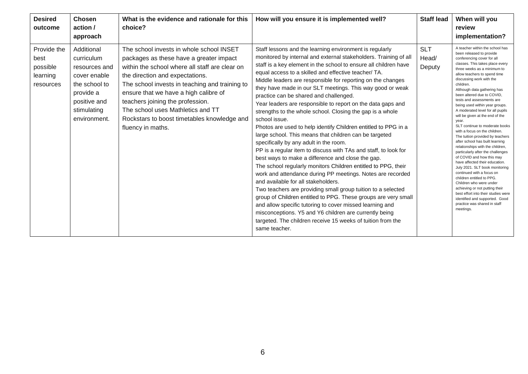| <b>Desired</b><br>outcome                                | <b>Chosen</b><br>action /<br>approach                                                                                                  | What is the evidence and rationale for this<br>choice?                                                                                                                                                                                                                                                                                                                                                           | How will you ensure it is implemented well?                                                                                                                                                                                                                                                                                                                                                                                                                                                                                                                                                                                                                                                                                                                                                                                                                                                                                                                                                                                                                                                                                                                                                                                                                                                                                                                                            | <b>Staff lead</b>             | When will you<br>review<br>implementation?                                                                                                                                                                                                                                                                                                                                                                                                                                                                                                                                                                                                                                                                                                                                                                                                                                                                                                                                                                        |
|----------------------------------------------------------|----------------------------------------------------------------------------------------------------------------------------------------|------------------------------------------------------------------------------------------------------------------------------------------------------------------------------------------------------------------------------------------------------------------------------------------------------------------------------------------------------------------------------------------------------------------|----------------------------------------------------------------------------------------------------------------------------------------------------------------------------------------------------------------------------------------------------------------------------------------------------------------------------------------------------------------------------------------------------------------------------------------------------------------------------------------------------------------------------------------------------------------------------------------------------------------------------------------------------------------------------------------------------------------------------------------------------------------------------------------------------------------------------------------------------------------------------------------------------------------------------------------------------------------------------------------------------------------------------------------------------------------------------------------------------------------------------------------------------------------------------------------------------------------------------------------------------------------------------------------------------------------------------------------------------------------------------------------|-------------------------------|-------------------------------------------------------------------------------------------------------------------------------------------------------------------------------------------------------------------------------------------------------------------------------------------------------------------------------------------------------------------------------------------------------------------------------------------------------------------------------------------------------------------------------------------------------------------------------------------------------------------------------------------------------------------------------------------------------------------------------------------------------------------------------------------------------------------------------------------------------------------------------------------------------------------------------------------------------------------------------------------------------------------|
| Provide the<br>best<br>possible<br>learning<br>resources | Additional<br>curriculum<br>resources and<br>cover enable<br>the school to<br>provide a<br>positive and<br>stimulating<br>environment. | The school invests in whole school INSET<br>packages as these have a greater impact<br>within the school where all staff are clear on<br>the direction and expectations.<br>The school invests in teaching and training to<br>ensure that we have a high calibre of<br>teachers joining the profession.<br>The school uses Mathletics and TT<br>Rockstars to boost timetables knowledge and<br>fluency in maths. | Staff lessons and the learning environment is regularly<br>monitored by internal and external stakeholders. Training of all<br>staff is a key element in the school to ensure all children have<br>equal access to a skilled and effective teacher/ TA.<br>Middle leaders are responsible for reporting on the changes<br>they have made in our SLT meetings. This way good or weak<br>practice can be shared and challenged.<br>Year leaders are responsible to report on the data gaps and<br>strengths to the whole school. Closing the gap is a whole<br>school issue.<br>Photos are used to help identify Children entitled to PPG in a<br>large school. This means that children can be targeted<br>specifically by any adult in the room.<br>PP is a regular item to discuss with TAs and staff, to look for<br>best ways to make a difference and close the gap.<br>The school regularly monitors Children entitled to PPG, their<br>work and attendance during PP meetings. Notes are recorded<br>and available for all stakeholders.<br>Two teachers are providing small group tuition to a selected<br>group of Children entitled to PPG. These groups are very small<br>and allow specific tutoring to cover missed learning and<br>misconceptions. Y5 and Y6 children are currently being<br>targeted. The children receive 15 weeks of tuition from the<br>same teacher. | <b>SLT</b><br>Head/<br>Deputy | A teacher within the school has<br>been released to provide<br>conferencing cover for all<br>classes. This takes place every<br>three weeks as a minimum to<br>allow teachers to spend time<br>discussing work with the<br>children.<br>Although data gathering has<br>been altered due to COVID.<br>tests and assessments are<br>being used within year groups.<br>A moderated level for all pupils<br>will be given at the end of the<br>year.<br>SLT continue to moderate books<br>with a focus on the children.<br>The tuition provided by teachers<br>after school has built learning<br>relationships with the children,<br>particularly after the challenges<br>of COVID and how this may<br>have affected their education.<br>July 2021. SLT book monitoring<br>continued with a focus on<br>children entitled to PPG.<br>Children who were under<br>achieving or not putting their<br>best effort into their studies were<br>identified and supported. Good<br>practice was shared in staff<br>meetings. |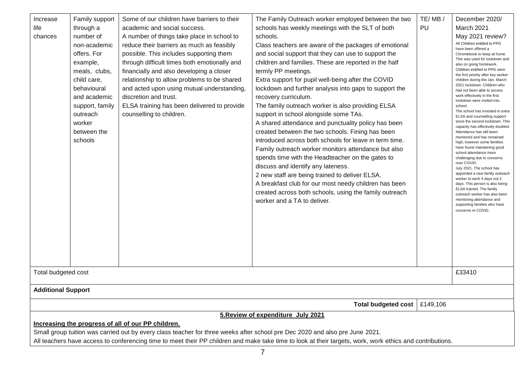| Increase<br>life<br>chances<br>example,<br>outreach<br>worker<br>schools                                              | Family support<br>through a<br>number of<br>non-academic<br>offers. For<br>meals, clubs,<br>child care,<br>behavioural<br>and academic<br>support, family<br>between the | Some of our children have barriers to their<br>academic and social success.<br>A number of things take place in school to<br>reduce their barriers as much as feasibly<br>possible. This includes supporting them<br>through difficult times both emotionally and<br>financially and also developing a closer<br>relationship to allow problems to be shared<br>and acted upon using mutual understanding,<br>discretion and trust.<br>ELSA training has been delivered to provide<br>counselling to children. | The Family Outreach worker employed between the two<br>schools has weekly meetings with the SLT of both<br>schools.<br>Class teachers are aware of the packages of emotional<br>and social support that they can use to support the<br>children and families. These are reported in the half<br>termly PP meetings.<br>Extra support for pupil well-being after the COVID<br>lockdown and further analysis into gaps to support the<br>recovery curriculum.<br>The family outreach worker is also providing ELSA<br>support in school alongside some TAs.<br>A shared attendance and punctuality policy has been<br>created between the two schools. Fining has been<br>introduced across both schools for leave in term time.<br>Family outreach worker monitors attendance but also<br>spends time with the Headteacher on the gates to<br>discuss and identify any lateness.<br>2 new staff are being trained to deliver ELSA.<br>A breakfast club for our most needy children has been<br>created across both schools, using the family outreach<br>worker and a TA to deliver. | TE/MB/<br>PU | December 2020/<br>March 2021<br>May 2021 review?<br>All Children entitled to PPG<br>have been offered a<br>Chromebook to keep at home.<br>This was used for lockdown and<br>also on going homework.<br>Children entitled to PPG were<br>the first priority after key worker<br>children during the Jan- March<br>2021 lockdown. Children who<br>had not been able to access<br>work effectively in the first<br>lockdown were invited into<br>school.<br>The school has invested in extra<br>ELSA and counselling support<br>since the second lockdown. This<br>capacity has effectively doubled.<br>Attendance has still been<br>monitored and has remained<br>high, however some families<br>have found maintaining good<br>school attendance more<br>challenging due to concerns<br>over COVID.<br>July 2021. The school has<br>appointed a new family outreach<br>worker to work 4 days not 2<br>days. This person is also being<br>ELSA trained. The family<br>outreach worker has also been<br>monitoring attendance and<br>supporting families who have<br>concerns re COVID. |
|-----------------------------------------------------------------------------------------------------------------------|--------------------------------------------------------------------------------------------------------------------------------------------------------------------------|----------------------------------------------------------------------------------------------------------------------------------------------------------------------------------------------------------------------------------------------------------------------------------------------------------------------------------------------------------------------------------------------------------------------------------------------------------------------------------------------------------------|-------------------------------------------------------------------------------------------------------------------------------------------------------------------------------------------------------------------------------------------------------------------------------------------------------------------------------------------------------------------------------------------------------------------------------------------------------------------------------------------------------------------------------------------------------------------------------------------------------------------------------------------------------------------------------------------------------------------------------------------------------------------------------------------------------------------------------------------------------------------------------------------------------------------------------------------------------------------------------------------------------------------------------------------------------------------------------------|--------------|--------------------------------------------------------------------------------------------------------------------------------------------------------------------------------------------------------------------------------------------------------------------------------------------------------------------------------------------------------------------------------------------------------------------------------------------------------------------------------------------------------------------------------------------------------------------------------------------------------------------------------------------------------------------------------------------------------------------------------------------------------------------------------------------------------------------------------------------------------------------------------------------------------------------------------------------------------------------------------------------------------------------------------------------------------------------------------------|
| Total budgeted cost                                                                                                   |                                                                                                                                                                          |                                                                                                                                                                                                                                                                                                                                                                                                                                                                                                                |                                                                                                                                                                                                                                                                                                                                                                                                                                                                                                                                                                                                                                                                                                                                                                                                                                                                                                                                                                                                                                                                                     |              | £33410                                                                                                                                                                                                                                                                                                                                                                                                                                                                                                                                                                                                                                                                                                                                                                                                                                                                                                                                                                                                                                                                               |
|                                                                                                                       |                                                                                                                                                                          |                                                                                                                                                                                                                                                                                                                                                                                                                                                                                                                |                                                                                                                                                                                                                                                                                                                                                                                                                                                                                                                                                                                                                                                                                                                                                                                                                                                                                                                                                                                                                                                                                     |              |                                                                                                                                                                                                                                                                                                                                                                                                                                                                                                                                                                                                                                                                                                                                                                                                                                                                                                                                                                                                                                                                                      |
|                                                                                                                       |                                                                                                                                                                          |                                                                                                                                                                                                                                                                                                                                                                                                                                                                                                                | <b>Total budgeted cost</b>                                                                                                                                                                                                                                                                                                                                                                                                                                                                                                                                                                                                                                                                                                                                                                                                                                                                                                                                                                                                                                                          | £149,106     |                                                                                                                                                                                                                                                                                                                                                                                                                                                                                                                                                                                                                                                                                                                                                                                                                                                                                                                                                                                                                                                                                      |
| <b>Additional Support</b><br>5. Review of expenditure July 2021<br>Increasing the progress of all of our PP children. |                                                                                                                                                                          |                                                                                                                                                                                                                                                                                                                                                                                                                                                                                                                |                                                                                                                                                                                                                                                                                                                                                                                                                                                                                                                                                                                                                                                                                                                                                                                                                                                                                                                                                                                                                                                                                     |              |                                                                                                                                                                                                                                                                                                                                                                                                                                                                                                                                                                                                                                                                                                                                                                                                                                                                                                                                                                                                                                                                                      |